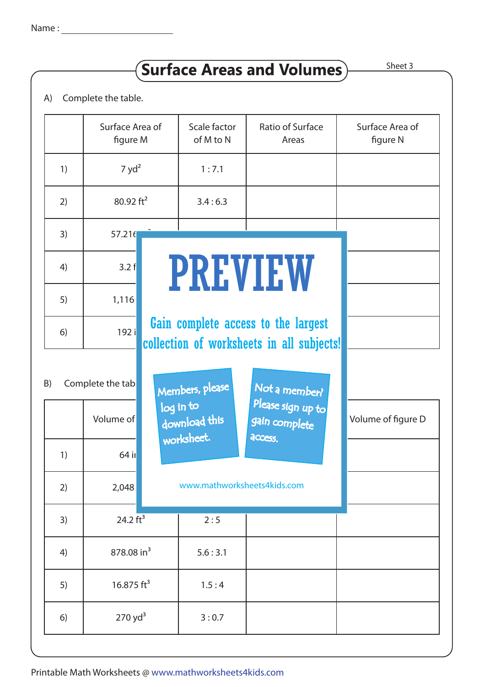## $S$ urface Areas and Volumes  $S$  Sheet 3

A) Complete the table.

|                        | Surface Area of<br>figure M |                                               | Scale factor<br>of M to N                                                        | Ratio of Surface<br>Areas                     | Surface Area of<br>figure N |  |  |  |
|------------------------|-----------------------------|-----------------------------------------------|----------------------------------------------------------------------------------|-----------------------------------------------|-----------------------------|--|--|--|
| 1)                     | 7 yd <sup>2</sup>           |                                               | 1:7.1                                                                            |                                               |                             |  |  |  |
| 2)                     | 80.92 $ft^2$                |                                               | 3.4:6.3                                                                          |                                               |                             |  |  |  |
| 3)                     | 57.216                      |                                               |                                                                                  |                                               |                             |  |  |  |
| 4)                     | 3.2 f                       | PREVIEW                                       |                                                                                  |                                               |                             |  |  |  |
| 5)                     | 1,116                       |                                               |                                                                                  |                                               |                             |  |  |  |
| 6)                     | 192 i                       |                                               | Gain complete access to the largest<br>collection of worksheets in all subjects! |                                               |                             |  |  |  |
| Complete the tab<br>B) |                             | Members, please<br>Not a member?<br>log in to |                                                                                  |                                               |                             |  |  |  |
|                        | Volume of                   |                                               | download this<br>worksheet.                                                      | Please sign up to<br>gain complete<br>access. | Volume of figure D          |  |  |  |
| 1)                     | $64$ il                     |                                               |                                                                                  |                                               |                             |  |  |  |
| 2)                     | 2,048                       |                                               | www.mathworksheets4kids.com                                                      |                                               |                             |  |  |  |
| 3)                     | 24.2 $ft^3$                 |                                               | 2:5                                                                              |                                               |                             |  |  |  |
| 4)                     | 878.08 in <sup>3</sup>      |                                               | 5.6:3.1                                                                          |                                               |                             |  |  |  |
| 5)                     | 16.875 $ft^3$               |                                               | 1.5:4                                                                            |                                               |                             |  |  |  |
| 6)                     | $270$ yd <sup>3</sup>       |                                               | 3:0.7                                                                            |                                               |                             |  |  |  |